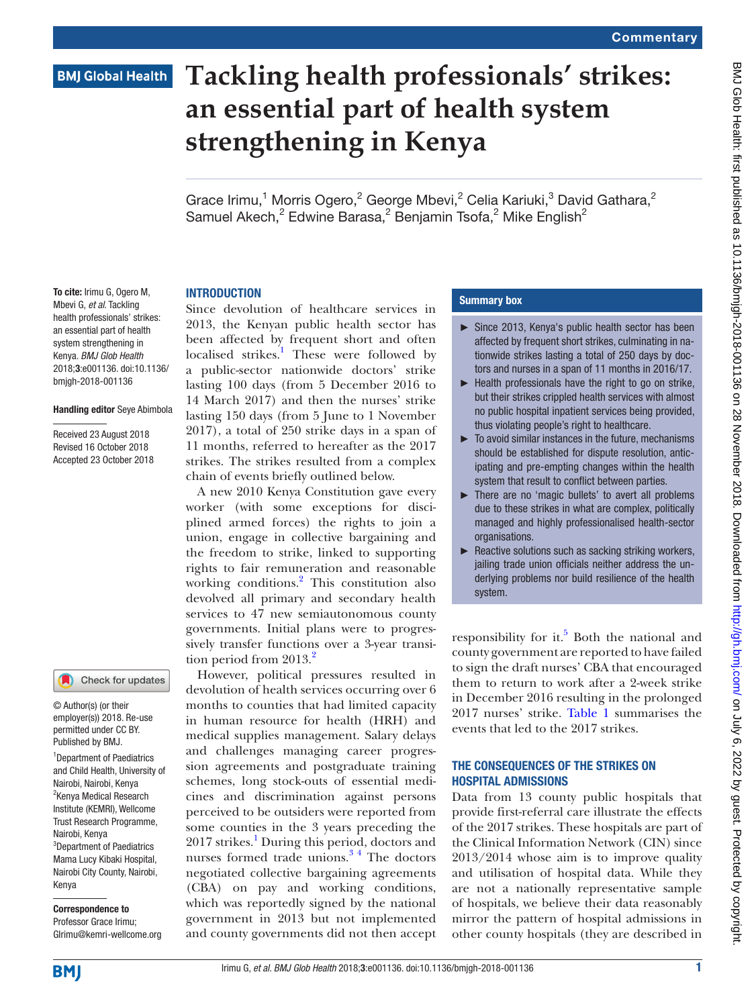### **BMJ Global Health**

## **Tackling health professionals' strikes: an essential part of health system strengthening in Kenya**

Grace Irimu,<sup>1</sup> Morris Ogero,<sup>2</sup> George Mbevi,<sup>2</sup> Celia Kariuki,<sup>3</sup> David Gathara,<sup>2</sup> Samuel Akech,<sup>2</sup> Edwine Barasa,<sup>2</sup> Benjamin Tsofa,<sup>2</sup> Mike English<sup>2</sup>

#### **INTRODUCTION**

To cite: Irimu G, Ogero M, Mbevi G, *et al*. Tackling health professionals' strikes: an essential part of health system strengthening in Kenya. *BMJ Glob Health* 2018;3:e001136. doi:10.1136/ bmjgh-2018-001136

#### Handling editor Seye Abimbola

Received 23 August 2018 Revised 16 October 2018 Accepted 23 October 2018



© Author(s) (or their employer(s)) 2018. Re-use permitted under CC BY. Published by BMJ.

1 Department of Paediatrics and Child Health, University of Nairobi, Nairobi, Kenya <sup>2</sup>Kenya Medical Research Institute (KEMRI), Wellcome Trust Research Programme, Nairobi, Kenya <sup>3</sup>Department of Paediatrics Mama Lucy Kibaki Hospital, Nairobi City County, Nairobi, Kenya

# Correspondence to

Professor Grace Irimu; GIrimu@kemri-wellcome.org

Since devolution of healthcare services in 2013, the Kenyan public health sector has been affected by frequent short and often localised strikes.<sup>[1](#page-3-0)</sup> These were followed by a public-sector nationwide doctors' strike lasting 100 days (from 5 December 2016 to 14 March 2017) and then the nurses' strike lasting 150 days (from 5 June to 1 November 2017), a total of 250 strike days in a span of 11 months, referred to hereafter as the 2017 strikes. The strikes resulted from a complex chain of events briefly outlined below.

A new 2010 Kenya Constitution gave every worker (with some exceptions for disciplined armed forces) the rights to join a union, engage in collective bargaining and the freedom to strike, linked to supporting rights to fair remuneration and reasonable working conditions.<sup>[2](#page-3-1)</sup> This constitution also devolved all primary and secondary health services to 47 new semiautonomous county governments. Initial plans were to progressively transfer functions over a 3-year transition period from  $2013<sup>2</sup>$  $2013<sup>2</sup>$ 

However, political pressures resulted in devolution of health services occurring over 6 months to counties that had limited capacity in human resource for health (HRH) and medical supplies management. Salary delays and challenges managing career progression agreements and postgraduate training schemes, long stock-outs of essential medicines and discrimination against persons perceived to be outsiders were reported from some counties in the 3 years preceding the 20[1](#page-3-0)7 strikes.<sup>1</sup> During this period, doctors and nurses formed trade unions. $3<sup>3</sup>$  The doctors negotiated collective bargaining agreements (CBA) on pay and working conditions, which was reportedly signed by the national government in 2013 but not implemented and county governments did not then accept

#### Summary box

- ► Since 2013, Kenya's public health sector has been affected by frequent short strikes, culminating in nationwide strikes lasting a total of 250 days by doctors and nurses in a span of 11 months in 2016/17.
- $\blacktriangleright$  Health professionals have the right to go on strike, but their strikes crippled health services with almost no public hospital inpatient services being provided, thus violating people's right to healthcare.
- ► To avoid similar instances in the future, mechanisms should be established for dispute resolution, anticipating and pre-empting changes within the health system that result to conflict between parties.
- ► There are no 'magic bullets' to avert all problems due to these strikes in what are complex, politically managed and highly professionalised health-sector organisations.
- ► Reactive solutions such as sacking striking workers, jailing trade union officials neither address the underlying problems nor build resilience of the health system.

responsibility for it.<sup>5</sup> Both the national and county government are reported to have failed to sign the draft nurses' CBA that encouraged them to return to work after a 2-week strike in December 2016 resulting in the prolonged 2017 nurses' strike. [Table](#page-1-0) 1 summarises the events that led to the 2017 strikes.

#### THE CONSEQUENCES OF THE STRIKES ON hospital admissions

Data from 13 county public hospitals that provide first-referral care illustrate the effects of the 2017 strikes. These hospitals are part of the Clinical Information Network (CIN) since 2013/2014 whose aim is to improve quality and utilisation of hospital data. While they are not a nationally representative sample of hospitals, we believe their data reasonably mirror the pattern of hospital admissions in other county hospitals (they are described in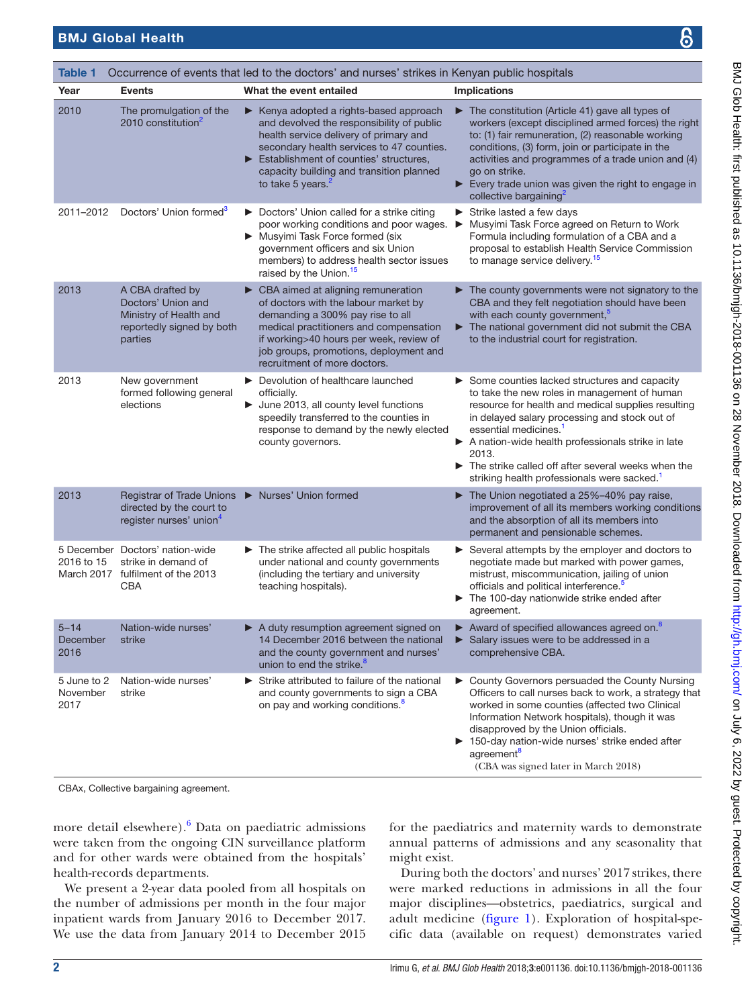<span id="page-1-0"></span>

| Table 1<br>Occurrence of events that led to the doctors' and nurses' strikes in Kenyan public hospitals |                                                                                                          |                                                                                                                                                                                                                                                                                                               |                                                                                                                                                                                                                                                                                                                                                                                                                         |
|---------------------------------------------------------------------------------------------------------|----------------------------------------------------------------------------------------------------------|---------------------------------------------------------------------------------------------------------------------------------------------------------------------------------------------------------------------------------------------------------------------------------------------------------------|-------------------------------------------------------------------------------------------------------------------------------------------------------------------------------------------------------------------------------------------------------------------------------------------------------------------------------------------------------------------------------------------------------------------------|
| Year                                                                                                    | <b>Events</b>                                                                                            | What the event entailed                                                                                                                                                                                                                                                                                       | <b>Implications</b>                                                                                                                                                                                                                                                                                                                                                                                                     |
| 2010                                                                                                    | The promulgation of the<br>2010 constitution <sup>2</sup>                                                | Example Kenya adopted a rights-based approach<br>and devolved the responsibility of public<br>health service delivery of primary and<br>secondary health services to 47 counties.<br>Establishment of counties' structures,<br>▶<br>capacity building and transition planned<br>to take 5 years. <sup>2</sup> | $\blacktriangleright$ The constitution (Article 41) gave all types of<br>workers (except disciplined armed forces) the right<br>to: (1) fair remuneration, (2) reasonable working<br>conditions, (3) form, join or participate in the<br>activities and programmes of a trade union and (4)<br>go on strike.<br>Every trade union was given the right to engage in<br>collective bargaining <sup>2</sup>                |
| 2011-2012                                                                                               | Doctors' Union formed <sup>3</sup>                                                                       | Doctors' Union called for a strike citing<br>poor working conditions and poor wages.<br>Musyimi Task Force formed (six<br>government officers and six Union<br>members) to address health sector issues<br>raised by the Union. <sup>15</sup>                                                                 | $\triangleright$ Strike lasted a few days<br>Musyimi Task Force agreed on Return to Work<br>▶<br>Formula including formulation of a CBA and a<br>proposal to establish Health Service Commission<br>to manage service delivery. <sup>15</sup>                                                                                                                                                                           |
| 2013                                                                                                    | A CBA drafted by<br>Doctors' Union and<br>Ministry of Health and<br>reportedly signed by both<br>parties | $\triangleright$ CBA aimed at aligning remuneration<br>of doctors with the labour market by<br>demanding a 300% pay rise to all<br>medical practitioners and compensation<br>if working>40 hours per week, review of<br>job groups, promotions, deployment and<br>recruitment of more doctors.                | $\blacktriangleright$ The county governments were not signatory to the<br>CBA and they felt negotiation should have been<br>with each county government, <sup>5</sup><br>The national government did not submit the CBA<br>▶<br>to the industrial court for registration.                                                                                                                                               |
| 2013                                                                                                    | New government<br>formed following general<br>elections                                                  | Devolution of healthcare launched<br>officially.<br>$\blacktriangleright$ June 2013, all county level functions<br>speedily transferred to the counties in<br>response to demand by the newly elected<br>county governors.                                                                                    | Some counties lacked structures and capacity<br>to take the new roles in management of human<br>resource for health and medical supplies resulting<br>in delayed salary processing and stock out of<br>essential medicines. <sup>1</sup><br>A nation-wide health professionals strike in late<br>2013.<br>The strike called off after several weeks when the<br>striking health professionals were sacked. <sup>1</sup> |
| 2013                                                                                                    | Registrar of Trade Unions<br>directed by the court to<br>register nurses' union <sup>4</sup>             | Nurses' Union formed                                                                                                                                                                                                                                                                                          | The Union negotiated a 25%-40% pay raise,<br>improvement of all its members working conditions<br>and the absorption of all its members into<br>permanent and pensionable schemes.                                                                                                                                                                                                                                      |
| 2016 to 15                                                                                              | 5 December Doctors' nation-wide<br>strike in demand of<br>March 2017 fulfilment of the 2013<br>CBA       | $\blacktriangleright$ The strike affected all public hospitals<br>under national and county governments<br>(including the tertiary and university<br>teaching hospitals).                                                                                                                                     | Several attempts by the employer and doctors to<br>negotiate made but marked with power games,<br>mistrust, miscommunication, jailing of union<br>officials and political interference. <sup>5</sup><br>The 100-day nationwide strike ended after<br>agreement.                                                                                                                                                         |
| $5 - 14$<br>December<br>2016                                                                            | Nation-wide nurses'<br>strike                                                                            | A duty resumption agreement signed on<br>14 December 2016 between the national<br>and the county government and nurses'<br>union to end the strike. <sup>8</sup>                                                                                                                                              | $\blacktriangleright$ Award of specified allowances agreed on. <sup>8</sup><br>Salary issues were to be addressed in a<br>comprehensive CBA.                                                                                                                                                                                                                                                                            |
| 5 June to 2<br>November<br>2017                                                                         | Nation-wide nurses'<br>strike                                                                            | Strike attributed to failure of the national<br>and county governments to sign a CBA<br>on pay and working conditions. <sup>8</sup>                                                                                                                                                                           | ► County Governors persuaded the County Nursing<br>Officers to call nurses back to work, a strategy that<br>worked in some counties (affected two Clinical<br>Information Network hospitals), though it was<br>disapproved by the Union officials.<br>▶ 150-day nation-wide nurses' strike ended after<br>agreement <sup>8</sup><br>(CBA was signed later in March 2018)                                                |
|                                                                                                         | CBAx, Collective bargaining agreement.                                                                   |                                                                                                                                                                                                                                                                                                               |                                                                                                                                                                                                                                                                                                                                                                                                                         |

more detail elsewhere).<sup>[6](#page-3-6)</sup> Data on paediatric admissions were taken from the ongoing CIN surveillance platform and for other wards were obtained from the hospitals' health-records departments.

We present a 2-year data pooled from all hospitals on the number of admissions per month in the four major inpatient wards from January 2016 to December 2017. We use the data from January 2014 to December 2015 for the paediatrics and maternity wards to demonstrate annual patterns of admissions and any seasonality that might exist.

During both the doctors' and nurses' 2017 strikes, there were marked reductions in admissions in all the four major disciplines—obstetrics, paediatrics, surgical and adult medicine [\(figure](#page-2-0) 1). Exploration of hospital-specific data (available on request) demonstrates varied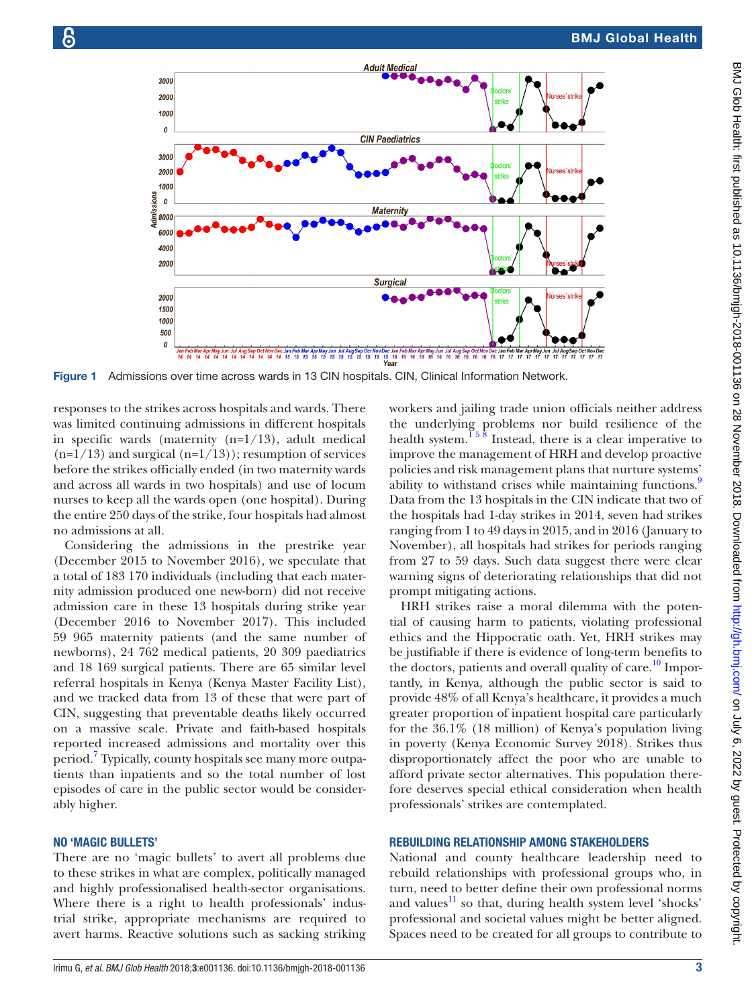

Figure 1 Admissions over time across wards in 13 CIN hospitals. CIN, Clinical Information Network.

responses to the strikes across hospitals and wards. There was limited continuing admissions in different hospitals in specific wards (maternity  $(n=1/13)$ , adult medical  $(n=1/13)$  and surgical  $(n=1/13)$ ; resumption of services before the strikes officially ended (in two maternity wards and across all wards in two hospitals) and use of locum nurses to keep all the wards open (one hospital). During the entire 250 days of the strike, four hospitals had almost no admissions at all.

Considering the admissions in the prestrike year (December 2015 to November 2016), we speculate that a total of 183 170 individuals (including that each maternity admission produced one new-born) did not receive admission care in these 13 hospitals during strike year (December 2016 to November 2017). This included 59 965 maternity patients (and the same number of newborns), 24 762 medical patients, 20 309 paediatrics and 18 169 surgical patients. There are 65 similar level referral hospitals in Kenya (Kenya Master Facility List), and we tracked data from 13 of these that were part of CIN, suggesting that preventable deaths likely occurred on a massive scale. Private and faith-based hospitals reported increased admissions and mortality over this period.<sup>[7](#page-3-7)</sup> Typically, county hospitals see many more outpatients than inpatients and so the total number of lost episodes of care in the public sector would be considerably higher.

#### No 'Magic bullets'

There are no 'magic bullets' to avert all problems due to these strikes in what are complex, politically managed and highly professionalised health-sector organisations. Where there is a right to health professionals' industrial strike, appropriate mechanisms are required to avert harms. Reactive solutions such as sacking striking

<span id="page-2-0"></span>workers and jailing trade union officials neither address the underlying problems nor build resilience of the health system.<sup>158</sup> Instead, there is a clear imperative to improve the management of HRH and develop proactive policies and risk management plans that nurture systems' ability to withstand crises while maintaining functions.<sup>[9](#page-4-1)</sup> Data from the 13 hospitals in the CIN indicate that two of the hospitals had 1-day strikes in 2014, seven had strikes ranging from 1 to 49 days in 2015, and in 2016 (January to November), all hospitals had strikes for periods ranging from 27 to 59 days. Such data suggest there were clear warning signs of deteriorating relationships that did not prompt mitigating actions.

HRH strikes raise a moral dilemma with the potential of causing harm to patients, violating professional ethics and the Hippocratic oath. Yet, HRH strikes may be justifiable if there is evidence of long-term benefits to the doctors, patients and overall quality of care.<sup>10</sup> Importantly, in Kenya, although the public sector is said to provide 48% of all Kenya's healthcare, it provides a much greater proportion of inpatient hospital care particularly for the 36.1% (18 million) of Kenya's population living in poverty (Kenya Economic Survey 2018). Strikes thus disproportionately affect the poor who are unable to afford private sector alternatives. This population therefore deserves special ethical consideration when health professionals' strikes are contemplated.

#### Rebuilding relationship among stakeholders

National and county healthcare leadership need to rebuild relationships with professional groups who, in turn, need to better define their own professional norms and values $\frac{11}{1}$  $\frac{11}{1}$  $\frac{11}{1}$  so that, during health system level 'shocks' professional and societal values might be better aligned. Spaces need to be created for all groups to contribute to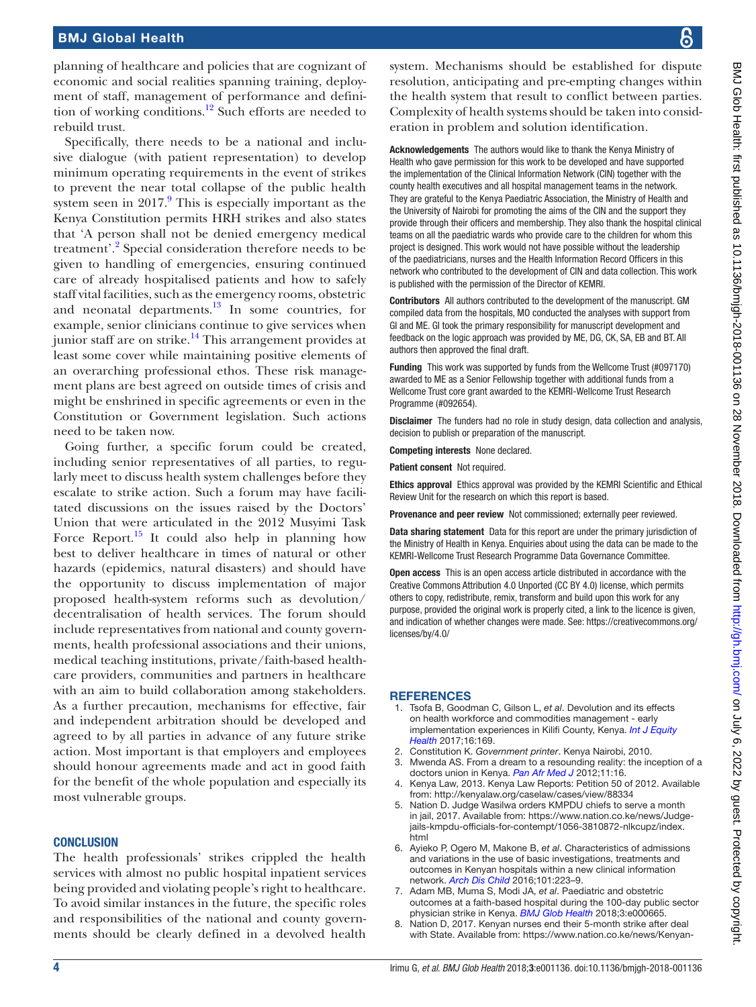- <span id="page-3-4"></span>from:<http://kenyalaw.org/caselaw/cases/view/88334>
- <span id="page-3-3"></span>5. Nation D. Judge Wasilwa orders KMPDU chiefs to serve a month [jails-kmpdu-officials-for-contempt/1056-3810872-nlkcupz/index.](https://www.nation.co.ke/news/Judge-jails-kmpdu-officials-for-contempt/1056-3810872-nlkcupz/index.html) [html](https://www.nation.co.ke/news/Judge-jails-kmpdu-officials-for-contempt/1056-3810872-nlkcupz/index.html)
- <span id="page-3-6"></span>6. Ayieko P, Ogero M, Makone B, *et al*. Characteristics of admissions and variations in the use of basic investigations, treatments and outcomes in Kenyan hospitals within a new clinical information network. *[Arch Dis Child](http://dx.doi.org/10.1136/archdischild-2015-309269)* 2016;101:223–9.
- <span id="page-3-7"></span>7. Adam MB, Muma S, Modi JA, *et al*. Paediatric and obstetric outcomes at a faith-based hospital during the 100-day public sector physician strike in Kenya. *[BMJ Glob Health](http://dx.doi.org/10.1136/bmjgh-2017-000665)* 2018;3:e000665.
- with State. Available from: [https://www.nation.co.ke/news/Kenyan-](https://www.nation.co.ke/news/Kenyan-nurses-end-4-month-strike-after-deal-with-State/1056-4166940-mo35skz/index.html)

planning of healthcare and policies that are cognizant of economic and social realities spanning training, deployment of staff, management of performance and definition of working conditions.<sup>12</sup> Such efforts are needed to rebuild trust.

Specifically, there needs to be a national and inclusive dialogue (with patient representation) to develop minimum operating requirements in the event of strikes to prevent the near total collapse of the public health system seen in  $2017<sup>9</sup>$  $2017<sup>9</sup>$  $2017<sup>9</sup>$ . This is especially important as the Kenya Constitution permits HRH strikes and also states that 'A person shall not be denied emergency medical treatment'.<sup>[2](#page-3-1)</sup> Special consideration therefore needs to be given to handling of emergencies, ensuring continued care of already hospitalised patients and how to safely staff vital facilities, such as the emergency rooms, obstetric and neonatal departments. $\frac{13}{10}$  $\frac{13}{10}$  $\frac{13}{10}$  In some countries, for example, senior clinicians continue to give services when junior staff are on strike.<sup>14</sup> This arrangement provides at least some cover while maintaining positive elements of an overarching professional ethos. These risk management plans are best agreed on outside times of crisis and might be enshrined in specific agreements or even in the Constitution or Government legislation. Such actions need to be taken now.

Going further, a specific forum could be created, including senior representatives of all parties, to regularly meet to discuss health system challenges before they escalate to strike action. Such a forum may have facilitated discussions on the issues raised by the Doctors' Union that were articulated in the 2012 Musyimi Task Force Report.<sup>[15](#page-4-0)</sup> It could also help in planning how best to deliver healthcare in times of natural or other hazards (epidemics, natural disasters) and should have the opportunity to discuss implementation of major proposed health-system reforms such as devolution/ decentralisation of health services. The forum should include representatives from national and county governments, health professional associations and their unions, medical teaching institutions, private/faith-based healthcare providers, communities and partners in healthcare with an aim to build collaboration among stakeholders. As a further precaution, mechanisms for effective, fair and independent arbitration should be developed and agreed to by all parties in advance of any future strike action. Most important is that employers and employees should honour agreements made and act in good faith for the benefit of the whole population and especially its most vulnerable groups.

#### **CONCLUSION**

The health professionals' strikes crippled the health services with almost no public hospital inpatient services being provided and violating people's right to healthcare. To avoid similar instances in the future, the specific roles and responsibilities of the national and county governments should be clearly defined in a devolved health

system. Mechanisms should be established for dispute resolution, anticipating and pre-empting changes within the health system that result to conflict between parties. Complexity of health systems should be taken into consideration in problem and solution identification. Acknowledgements The authors would like to thank the Kenya Ministry of

Health who gave permission for this work to be developed and have supported the implementation of the Clinical Information Network (CIN) together with the county health executives and all hospital management teams in the network. They are grateful to the Kenya Paediatric Association, the Ministry of Health and the University of Nairobi for promoting the aims of the CIN and the support they provide through their officers and membership. They also thank the hospital clinical teams on all the paediatric wards who provide care to the children for whom this project is designed. This work would not have possible without the leadership of the paediatricians, nurses and the Health Information Record Officers in this network who contributed to the development of CIN and data collection. This work is published with the permission of the Director of KEMRI.

Contributors All authors contributed to the development of the manuscript. GM compiled data from the hospitals, MO conducted the analyses with support from GI and ME. GI took the primary responsibility for manuscript development and feedback on the logic approach was provided by ME, DG, CK, SA, EB and BT. All authors then approved the final draft.

Funding This work was supported by funds from the Wellcome Trust (#097170) awarded to ME as a Senior Fellowship together with additional funds from a Wellcome Trust core grant awarded to the KEMRI-Wellcome Trust Research Programme (#092654).

Disclaimer The funders had no role in study design, data collection and analysis, decision to publish or preparation of the manuscript.

Competing interests None declared.

Patient consent Not required.

Ethics approval Ethics approval was provided by the KEMRI Scientific and Ethical Review Unit for the research on which this report is based.

Provenance and peer review Not commissioned; externally peer reviewed.

Data sharing statement Data for this report are under the primary jurisdiction of the Ministry of Health in Kenya. Enquiries about using the data can be made to the KEMRI-Wellcome Trust Research Programme Data Governance Committee.

Open access This is an open access article distributed in accordance with the Creative Commons Attribution 4.0 Unported (CC BY 4.0) license, which permits others to copy, redistribute, remix, transform and build upon this work for any purpose, provided the original work is properly cited, a link to the licence is given, and indication of whether changes were made. See: [https://creativecommons.org/](https://creativecommons.org/licenses/by/4.0/) [licenses/by/4.0/](https://creativecommons.org/licenses/by/4.0/)

#### **REFERENCES**

- <span id="page-3-0"></span>1. Tsofa B, Goodman C, Gilson L, *et al*. Devolution and its effects on health workforce and commodities management - early implementation experiences in Kilifi County, Kenya. *[Int J Equity](http://dx.doi.org/10.1186/s12939-017-0663-2)  [Health](http://dx.doi.org/10.1186/s12939-017-0663-2)* 2017;16:169.
- <span id="page-3-2"></span><span id="page-3-1"></span>2. Constitution K. *Government printer*. Kenya Nairobi, 2010. 3. Mwenda AS. From a dream to a resounding reality: the inception of a doctors union in Kenya. *[Pan Afr Med J](http://www.ncbi.nlm.nih.gov/pubmed/22368759)* 2012;11:16.
- Kenya Law, 2013. Kenya Law Reports: Petition 50 of 2012. Available
- in jail, 2017. Available from: [https://www.nation.co.ke/news/Judge-](https://www.nation.co.ke/news/Judge-jails-kmpdu-officials-for-contempt/1056-3810872-nlkcupz/index.html)
- 
- <span id="page-3-5"></span>8. Nation D, 2017. Kenyan nurses end their 5-month strike after deal